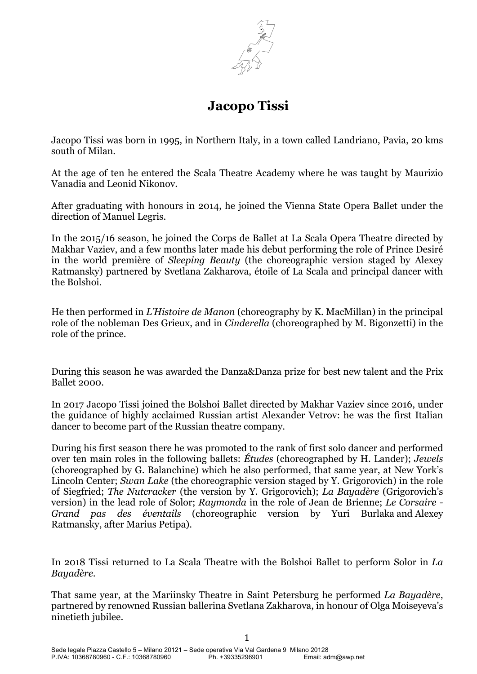

# **Jacopo Tissi**

Jacopo Tissi was born in 1995, in Northern Italy, in a town called Landriano, Pavia, 20 kms south of Milan.

At the age of ten he entered the Scala Theatre Academy where he was taught by Maurizio Vanadia and Leonid Nikonov.

After graduating with honours in 2014, he joined the Vienna State Opera Ballet under the direction of Manuel Legris.

In the 2015/16 season, he joined the Corps de Ballet at La Scala Opera Theatre directed by Makhar Vaziev, and a few months later made his debut performing the role of Prince Desiré in the world première of *Sleeping Beauty* (the choreographic version staged by Alexey Ratmansky) partnered by Svetlana Zakharova, étoile of La Scala and principal dancer with the Bolshoi.

He then performed in *L'Histoire de Manon* (choreography by K. MacMillan) in the principal role of the nobleman Des Grieux, and in *Cinderella* (choreographed by M. Bigonzetti) in the role of the prince.

During this season he was awarded the Danza&Danza prize for best new talent and the Prix Ballet 2000.

In 2017 Jacopo Tissi joined the Bolshoi Ballet directed by Makhar Vaziev since 2016, under the guidance of highly acclaimed Russian artist Alexander Vetrov: he was the first Italian dancer to become part of the Russian theatre company.

During his first season there he was promoted to the rank of first solo dancer and performed over ten main roles in the following ballets: *Études* (choreographed by H. Lander); *Jewels* (choreographed by G. Balanchine) which he also performed, that same year, at New York's Lincoln Center; *Swan Lake* (the choreographic version staged by Y. Grigorovich) in the role of Siegfried; *The Nutcracker* (the version by Y. Grigorovich); *La Bayadère* (Grigorovich's version) in the lead role of Solor; *Raymonda* in the role of Jean de Brienne; *Le Corsaire - Grand pas des éventails* (choreographic version by Yuri Burlaka and Alexey Ratmansky, after Marius Petipa).

In 2018 Tissi returned to La Scala Theatre with the Bolshoi Ballet to perform Solor in *La Bayadère*.

That same year, at the Mariinsky Theatre in Saint Petersburg he performed *La Bayadère*, partnered by renowned Russian ballerina Svetlana Zakharova, in honour of Olga Moiseyeva's ninetieth jubilee.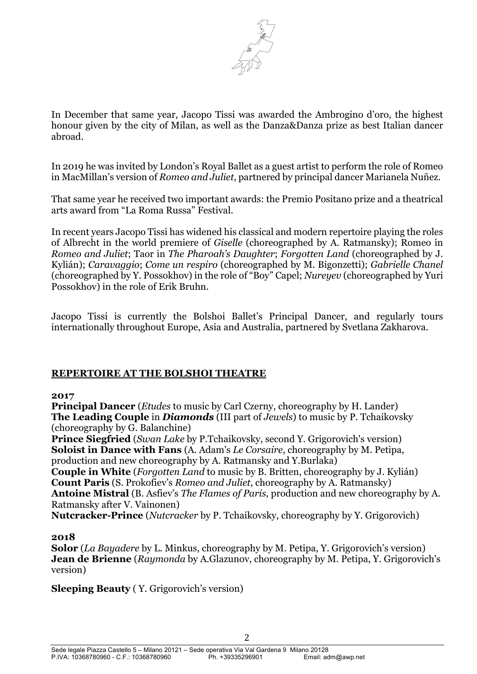

In December that same year, Jacopo Tissi was awarded the Ambrogino d'oro, the highest honour given by the city of Milan, as well as the Danza&Danza prize as best Italian dancer abroad.

In 2019 he was invited by London's Royal Ballet as a guest artist to perform the role of Romeo in MacMillan's version of *Romeo and Juliet*, partnered by principal dancer Marianela Nuñez.

That same year he received two important awards: the Premio Positano prize and a theatrical arts award from "La Roma Russa" Festival.

In recent years Jacopo Tissi has widened his classical and modern repertoire playing the roles of Albrecht in the world premiere of *Giselle* (choreographed by A. Ratmansky); Romeo in *Romeo and Juliet*; Taor in *The Pharoah's Daughter*; *Forgotten Land* (choreographed by J. Kylián); *Caravaggio*; *Come un respiro* (choreographed by M. Bigonzetti); *Gabrielle Chanel* (choreographed by Y. Possokhov) in the role of "Boy" Capel; *Nureyev* (choreographed by Yuri Possokhov) in the role of Erik Bruhn.

Jacopo Tissi is currently the Bolshoi Ballet's Principal Dancer, and regularly tours internationally throughout Europe, Asia and Australia, partnered by Svetlana Zakharova.

### **REPERTOIRE AT THE BOLSHOI THEATRE**

#### **2017**

**Principal Dancer** (*Etudes* to music by Carl Czerny, choreography by H. Lander) **The Leading Couple** in *Diamonds* (III part of *Jewels*) to music by P. Tchaikovsky (choreography by G. Balanchine)

**Prince Siegfried** (*Swan Lake* by P.Tchaikovsky, second Y. Grigorovich's version) **Soloist in Dance with Fans** (A. Adam's *Le Corsaire*, choreography by M. Petipa, production and new choreography by A. Ratmansky and Y.Burlaka)

**Couple in White** (*Forgotten Land* to music by B. Britten, choreography by J. Kylián) **Count Paris** (S. Prokofiev's *Romeo and Juliet*, choreography by A. Ratmansky) **Antoine Mistral** (B. Asfiev's *The Flames of Paris,* production and new choreography by A. Ratmansky after V. Vainonen)

**Nutcracker-Prince** (*Nutcracker* by P. Tchaikovsky, choreography by Y. Grigorovich)

#### **2018**

**Solor** (*La Bayadere* by L. Minkus, choreography by M. Petipa, Y. Grigorovich's version) **Jean de Brienne** (*Raymonda* by A.Glazunov, choreography by M. Petipa, Y. Grigorovich's version)

**Sleeping Beauty** ( Y. Grigorovich's version)